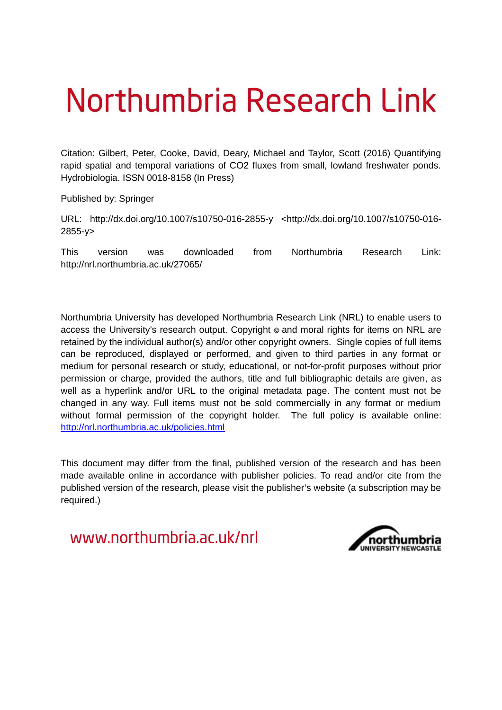# Northumbria Research Link

Citation: Gilbert, Peter, Cooke, David, Deary, Michael and Taylor, Scott (2016) Quantifying rapid spatial and temporal variations of CO2 fluxes from small, lowland freshwater ponds. Hydrobiologia. ISSN 0018-8158 (In Press)

Published by: Springer

URL: http://dx.doi.org/10.1007/s10750-016-2855-y <http://dx.doi.org/10.1007/s10750-016- 2855-y>

This version was downloaded from Northumbria Research Link: http://nrl.northumbria.ac.uk/27065/

Northumbria University has developed Northumbria Research Link (NRL) to enable users to access the University's research output. Copyright  $\circ$  and moral rights for items on NRL are retained by the individual author(s) and/or other copyright owners. Single copies of full items can be reproduced, displayed or performed, and given to third parties in any format or medium for personal research or study, educational, or not-for-profit purposes without prior permission or charge, provided the authors, title and full bibliographic details are given, as well as a hyperlink and/or URL to the original metadata page. The content must not be changed in any way. Full items must not be sold commercially in any format or medium without formal permission of the copyright holder. The full policy is available online: <http://nrl.northumbria.ac.uk/policies.html>

This document may differ from the final, published version of the research and has been made available online in accordance with publisher policies. To read and/or cite from the published version of the research, please visit the publisher's website (a subscription may be required.)

www.northumbria.ac.uk/nrl

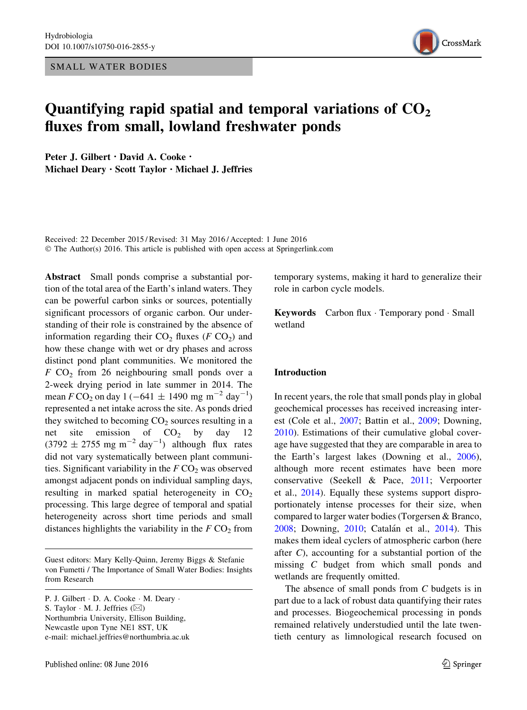SMALL WATER BODIES



## Quantifying rapid spatial and temporal variations of  $CO<sub>2</sub>$ fluxes from small, lowland freshwater ponds

Peter J. Gilbert · David A. Cooke · Michael Deary . Scott Taylor . Michael J. Jeffries

Received: 22 December 2015 / Revised: 31 May 2016 / Accepted: 1 June 2016 © The Author(s) 2016. This article is published with open access at Springerlink.com

Abstract Small ponds comprise a substantial portion of the total area of the Earth's inland waters. They can be powerful carbon sinks or sources, potentially significant processors of organic carbon. Our understanding of their role is constrained by the absence of information regarding their  $CO<sub>2</sub>$  fluxes (F  $CO<sub>2</sub>$ ) and how these change with wet or dry phases and across distinct pond plant communities. We monitored the  $F$  CO<sub>2</sub> from 26 neighbouring small ponds over a 2-week drying period in late summer in 2014. The mean  $F \text{CO}_2$  on day 1 (-641  $\pm$  1490 mg m<sup>-2</sup> day<sup>-1</sup>) represented a net intake across the site. As ponds dried they switched to becoming  $CO<sub>2</sub>$  sources resulting in a net site emission of  $CO<sub>2</sub>$  by day 12  $(3792 \pm 2755 \text{ mg m}^{-2} \text{ day}^{-1})$  although flux rates did not vary systematically between plant communities. Significant variability in the  $F \text{CO}_2$  was observed amongst adjacent ponds on individual sampling days, resulting in marked spatial heterogeneity in  $CO<sub>2</sub>$ processing. This large degree of temporal and spatial heterogeneity across short time periods and small distances highlights the variability in the  $F \text{CO}_2$  from

Guest editors: Mary Kelly-Quinn, Jeremy Biggs & Stefanie von Fumetti / The Importance of Small Water Bodies: Insights from Research

P. J. Gilbert · D. A. Cooke · M. Deary · S. Taylor  $\cdot$  M. J. Jeffries  $(\boxtimes)$ Northumbria University, Ellison Building, Newcastle upon Tyne NE1 8ST, UK e-mail: michael.jeffries@northumbria.ac.uk temporary systems, making it hard to generalize their role in carbon cycle models.

Keywords Carbon flux · Temporary pond · Small wetland

#### Introduction

In recent years, the role that small ponds play in global geochemical processes has received increasing interest (Cole et al., [2007;](#page-9-0) Battin et al., [2009](#page-9-0); Downing, [2010\)](#page-9-0). Estimations of their cumulative global coverage have suggested that they are comparable in area to the Earth's largest lakes (Downing et al., [2006](#page-9-0)), although more recent estimates have been more conservative (Seekell & Pace, [2011](#page-10-0); Verpoorter et al., [2014\)](#page-10-0). Equally these systems support disproportionately intense processes for their size, when compared to larger water bodies (Torgersen & Branco, [2008;](#page-10-0) Downing, [2010;](#page-9-0) Catalán et al., [2014\)](#page-9-0). This makes them ideal cyclers of atmospheric carbon (here after C), accounting for a substantial portion of the missing C budget from which small ponds and wetlands are frequently omitted.

The absence of small ponds from C budgets is in part due to a lack of robust data quantifying their rates and processes. Biogeochemical processing in ponds remained relatively understudied until the late twentieth century as limnological research focused on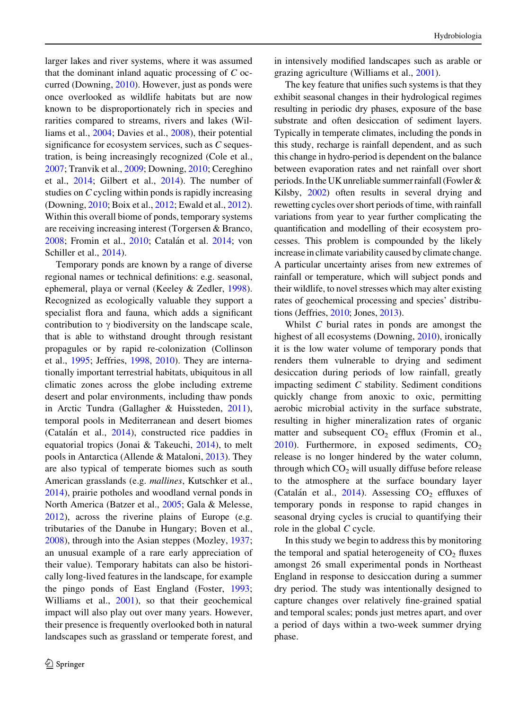<span id="page-2-0"></span>larger lakes and river systems, where it was assumed that the dominant inland aquatic processing of C occurred (Downing, [2010\)](#page-9-0). However, just as ponds were once overlooked as wildlife habitats but are now known to be disproportionately rich in species and rarities compared to streams, rivers and lakes (Williams et al., [2004](#page-10-0); Davies et al., [2008](#page-9-0)), their potential significance for ecosystem services, such as C sequestration, is being increasingly recognized (Cole et al., [2007;](#page-9-0) Tranvik et al., [2009](#page-10-0); Downing, [2010;](#page-9-0) Cereghino et al., [2014](#page-9-0); Gilbert et al., [2014\)](#page-9-0). The number of studies on C cycling within ponds is rapidly increasing (Downing, [2010;](#page-9-0) Boix et al., [2012;](#page-9-0) Ewald et al., [2012](#page-9-0)). Within this overall biome of ponds, temporary systems are receiving increasing interest (Torgersen & Branco, [2008;](#page-10-0) Fromin et al., [2010](#page-9-0); Catalán et al. [2014](#page-9-0); von Schiller et al., [2014\)](#page-10-0).

Temporary ponds are known by a range of diverse regional names or technical definitions: e.g. seasonal, ephemeral, playa or vernal (Keeley & Zedler, [1998](#page-9-0)). Recognized as ecologically valuable they support a specialist flora and fauna, which adds a significant contribution to  $\gamma$  biodiversity on the landscape scale, that is able to withstand drought through resistant propagules or by rapid re-colonization (Collinson et al., [1995](#page-9-0); Jeffries, [1998](#page-9-0), [2010](#page-9-0)). They are internationally important terrestrial habitats, ubiquitous in all climatic zones across the globe including extreme desert and polar environments, including thaw ponds in Arctic Tundra (Gallagher & Huissteden, [2011](#page-9-0)), temporal pools in Mediterranean and desert biomes (Catalán et al., [2014\)](#page-9-0), constructed rice paddies in equatorial tropics (Jonai & Takeuchi, [2014\)](#page-9-0), to melt pools in Antarctica (Allende & Mataloni, [2013](#page-9-0)). They are also typical of temperate biomes such as south American grasslands (e.g. mallines, Kutschker et al., [2014\)](#page-10-0), prairie potholes and woodland vernal ponds in North America (Batzer et al., [2005;](#page-9-0) Gala & Melesse, [2012\)](#page-9-0), across the riverine plains of Europe (e.g. tributaries of the Danube in Hungary; Boven et al., [2008\)](#page-9-0), through into the Asian steppes (Mozley, [1937](#page-10-0); an unusual example of a rare early appreciation of their value). Temporary habitats can also be historically long-lived features in the landscape, for example the pingo ponds of East England (Foster, [1993](#page-9-0); Williams et al., [2001](#page-10-0)), so that their geochemical impact will also play out over many years. However, their presence is frequently overlooked both in natural landscapes such as grassland or temperate forest, and

in intensively modified landscapes such as arable or grazing agriculture (Williams et al., [2001](#page-10-0)).

The key feature that unifies such systems is that they exhibit seasonal changes in their hydrological regimes resulting in periodic dry phases, exposure of the base substrate and often desiccation of sediment layers. Typically in temperate climates, including the ponds in this study, recharge is rainfall dependent, and as such this change in hydro-period is dependent on the balance between evaporation rates and net rainfall over short periods. Inthe UK unreliable summer rainfall (Fowler & Kilsby, [2002](#page-9-0)) often results in several drying and rewetting cycles over short periods of time, with rainfall variations from year to year further complicating the quantification and modelling of their ecosystem processes. This problem is compounded by the likely increase in climate variability caused by climate change. A particular uncertainty arises from new extremes of rainfall or temperature, which will subject ponds and their wildlife, to novel stresses which may alter existing rates of geochemical processing and species' distributions (Jeffries, [2010;](#page-9-0) Jones, [2013\)](#page-9-0).

Whilst C burial rates in ponds are amongst the highest of all ecosystems (Downing, [2010](#page-9-0)), ironically it is the low water volume of temporary ponds that renders them vulnerable to drying and sediment desiccation during periods of low rainfall, greatly impacting sediment C stability. Sediment conditions quickly change from anoxic to oxic, permitting aerobic microbial activity in the surface substrate, resulting in higher mineralization rates of organic matter and subsequent  $CO<sub>2</sub>$  efflux (Fromin et al., [2010\)](#page-9-0). Furthermore, in exposed sediments,  $CO<sub>2</sub>$ release is no longer hindered by the water column, through which  $CO<sub>2</sub>$  will usually diffuse before release to the atmosphere at the surface boundary layer (Catalán et al., [2014](#page-9-0)). Assessing  $CO<sub>2</sub>$  effluxes of temporary ponds in response to rapid changes in seasonal drying cycles is crucial to quantifying their role in the global C cycle.

In this study we begin to address this by monitoring the temporal and spatial heterogeneity of  $CO<sub>2</sub>$  fluxes amongst 26 small experimental ponds in Northeast England in response to desiccation during a summer dry period. The study was intentionally designed to capture changes over relatively fine-grained spatial and temporal scales; ponds just metres apart, and over a period of days within a two-week summer drying phase.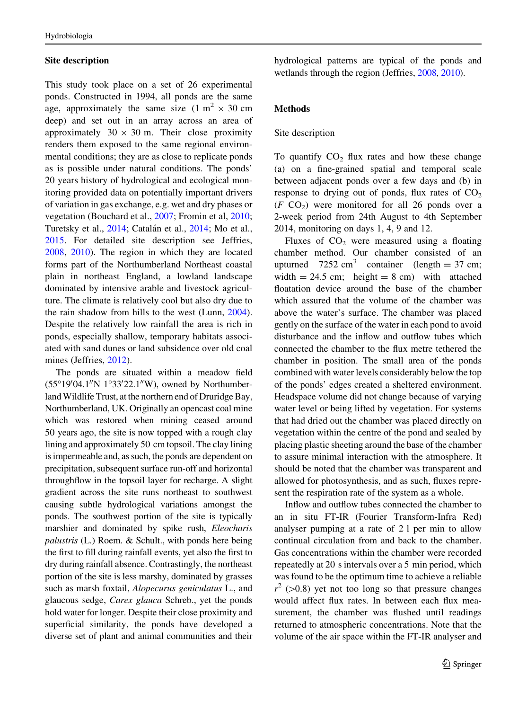#### Site description

This study took place on a set of 26 experimental ponds. Constructed in 1994, all ponds are the same age, approximately the same size  $(1 \text{ m}^2 \times 30 \text{ cm})$ deep) and set out in an array across an area of approximately  $30 \times 30$  m. Their close proximity renders them exposed to the same regional environmental conditions; they are as close to replicate ponds as is possible under natural conditions. The ponds' 20 years history of hydrological and ecological monitoring provided data on potentially important drivers of variation in gas exchange, e.g. wet and dry phases or vegetation (Bouchard et al., [2007](#page-9-0); Fromin et al, [2010](#page-9-0); Turetsky et al., [2014](#page-10-0); Catalán et al., [2014;](#page-9-0) Mo et al., [2015.](#page-10-0) For detailed site description see Jeffries, [2008,](#page-9-0) [2010\)](#page-9-0). The region in which they are located forms part of the Northumberland Northeast coastal plain in northeast England, a lowland landscape dominated by intensive arable and livestock agriculture. The climate is relatively cool but also dry due to the rain shadow from hills to the west (Lunn, [2004](#page-10-0)). Despite the relatively low rainfall the area is rich in ponds, especially shallow, temporary habitats associated with sand dunes or land subsidence over old coal mines (Jeffries, [2012](#page-9-0)).

The ponds are situated within a meadow field  $(55^{\circ}19'04.1''N 1^{\circ}33'22.1''W)$ , owned by Northumberland Wildlife Trust, at the northern end of Druridge Bay, Northumberland, UK. Originally an opencast coal mine which was restored when mining ceased around 50 years ago, the site is now topped with a rough clay lining and approximately 50 cm topsoil. The clay lining is impermeable and, as such, the ponds are dependent on precipitation, subsequent surface run-off and horizontal throughflow in the topsoil layer for recharge. A slight gradient across the site runs northeast to southwest causing subtle hydrological variations amongst the ponds. The southwest portion of the site is typically marshier and dominated by spike rush, Eleocharis palustris (L.) Roem. & Schult., with ponds here being the first to fill during rainfall events, yet also the first to dry during rainfall absence. Contrastingly, the northeast portion of the site is less marshy, dominated by grasses such as marsh foxtail, *Alopecurus geniculatus* L., and glaucous sedge, Carex glauca Schreb., yet the ponds hold water for longer. Despite their close proximity and superficial similarity, the ponds have developed a diverse set of plant and animal communities and their

hydrological patterns are typical of the ponds and wetlands through the region (Jeffries, [2008](#page-9-0), [2010\)](#page-9-0).

#### Methods

#### Site description

To quantify  $CO<sub>2</sub>$  flux rates and how these change (a) on a fine-grained spatial and temporal scale between adjacent ponds over a few days and (b) in response to drying out of ponds, flux rates of  $CO<sub>2</sub>$  $(F \text{ CO}_2)$  were monitored for all 26 ponds over a 2-week period from 24th August to 4th September 2014, monitoring on days 1, 4, 9 and 12.

Fluxes of  $CO<sub>2</sub>$  were measured using a floating chamber method. Our chamber consisted of an upturned  $7252 \text{ cm}^3$  container (length = 37 cm; width  $= 24.5$  cm; height  $= 8$  cm) with attached floatation device around the base of the chamber which assured that the volume of the chamber was above the water's surface. The chamber was placed gently on the surface of the water in each pond to avoid disturbance and the inflow and outflow tubes which connected the chamber to the flux metre tethered the chamber in position. The small area of the ponds combined with water levels considerably below the top of the ponds' edges created a sheltered environment. Headspace volume did not change because of varying water level or being lifted by vegetation. For systems that had dried out the chamber was placed directly on vegetation within the centre of the pond and sealed by placing plastic sheeting around the base of the chamber to assure minimal interaction with the atmosphere. It should be noted that the chamber was transparent and allowed for photosynthesis, and as such, fluxes represent the respiration rate of the system as a whole.

Inflow and outflow tubes connected the chamber to an in situ FT-IR (Fourier Transform-Infra Red) analyser pumping at a rate of 2 l per min to allow continual circulation from and back to the chamber. Gas concentrations within the chamber were recorded repeatedly at 20 s intervals over a 5 min period, which was found to be the optimum time to achieve a reliable  $r^2$  (>0.8) yet not too long so that pressure changes would affect flux rates. In between each flux measurement, the chamber was flushed until readings returned to atmospheric concentrations. Note that the volume of the air space within the FT-IR analyser and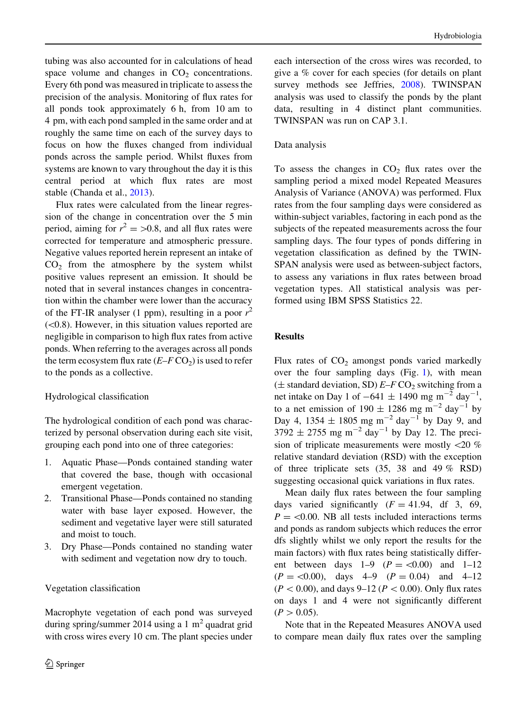tubing was also accounted for in calculations of head space volume and changes in  $CO<sub>2</sub>$  concentrations. Every 6th pond was measured in triplicate to assess the precision of the analysis. Monitoring of flux rates for all ponds took approximately 6 h, from 10 am to 4 pm, with each pond sampled in the same order and at roughly the same time on each of the survey days to focus on how the fluxes changed from individual ponds across the sample period. Whilst fluxes from systems are known to vary throughout the day it is this central period at which flux rates are most stable (Chanda et al., [2013\)](#page-9-0).

Flux rates were calculated from the linear regression of the change in concentration over the 5 min period, aiming for  $r^2 = 0.8$ , and all flux rates were corrected for temperature and atmospheric pressure. Negative values reported herein represent an intake of  $CO<sub>2</sub>$  from the atmosphere by the system whilst positive values represent an emission. It should be noted that in several instances changes in concentration within the chamber were lower than the accuracy of the FT-IR analyser (1 ppm), resulting in a poor  $r^2$  $(<0.8$ ). However, in this situation values reported are negligible in comparison to high flux rates from active ponds. When referring to the averages across all ponds the term ecosystem flux rate  $(E-F\operatorname{CO}_2)$  is used to refer to the ponds as a collective.

#### Hydrological classification

The hydrological condition of each pond was characterized by personal observation during each site visit, grouping each pond into one of three categories:

- 1. Aquatic Phase—Ponds contained standing water that covered the base, though with occasional emergent vegetation.
- 2. Transitional Phase—Ponds contained no standing water with base layer exposed. However, the sediment and vegetative layer were still saturated and moist to touch.
- 3. Dry Phase—Ponds contained no standing water with sediment and vegetation now dry to touch.

#### Vegetation classification

Macrophyte vegetation of each pond was surveyed during spring/summer 2014 using a 1 m<sup>2</sup> quadrat grid with cross wires every 10 cm. The plant species under each intersection of the cross wires was recorded, to give a % cover for each species (for details on plant survey methods see Jeffries, [2008](#page-9-0)). TWINSPAN analysis was used to classify the ponds by the plant data, resulting in 4 distinct plant communities. TWINSPAN was run on CAP 3.1.

#### Data analysis

To assess the changes in  $CO<sub>2</sub>$  flux rates over the sampling period a mixed model Repeated Measures Analysis of Variance (ANOVA) was performed. Flux rates from the four sampling days were considered as within-subject variables, factoring in each pond as the subjects of the repeated measurements across the four sampling days. The four types of ponds differing in vegetation classification as defined by the TWIN-SPAN analysis were used as between-subject factors, to assess any variations in flux rates between broad vegetation types. All statistical analysis was performed using IBM SPSS Statistics 22.

### Results

Flux rates of  $CO<sub>2</sub>$  amongst ponds varied markedly over the four sampling days (Fig. 1), with mean  $(\pm$  standard deviation, SD)  $E-F$  CO<sub>2</sub> switching from a net intake on Day 1 of  $-641 \pm 1490$  mg m<sup>-2</sup> day<sup>-1</sup>, to a net emission of  $190 \pm 1286$  mg m<sup>-2</sup> day<sup>-1</sup> by Day 4, 1354  $\pm$  1805 mg m<sup>-2</sup> day<sup>-1</sup> by Day 9, and  $3792 \pm 2755$  mg m<sup>-2</sup> day<sup>-1</sup> by Day 12. The precision of triplicate measurements were mostly \20 % relative standard deviation (RSD) with the exception of three triplicate sets (35, 38 and 49 % RSD) suggesting occasional quick variations in flux rates.

Mean daily flux rates between the four sampling days varied significantly  $(F = 41.94, df = 3, 69,$  $P = \langle 0.00$ . NB all tests included interactions terms and ponds as random subjects which reduces the error dfs slightly whilst we only report the results for the main factors) with flux rates being statistically different between days  $1-9$   $(P = <0.00)$  and  $1-12$  $(P = \langle 0.00 \rangle)$ , days 4–9  $(P = 0.04)$  and 4–12  $(P < 0.00)$ , and days 9–12 ( $P < 0.00$ ). Only flux rates on days 1 and 4 were not significantly different  $(P>0.05)$ .

Note that in the Repeated Measures ANOVA used to compare mean daily flux rates over the sampling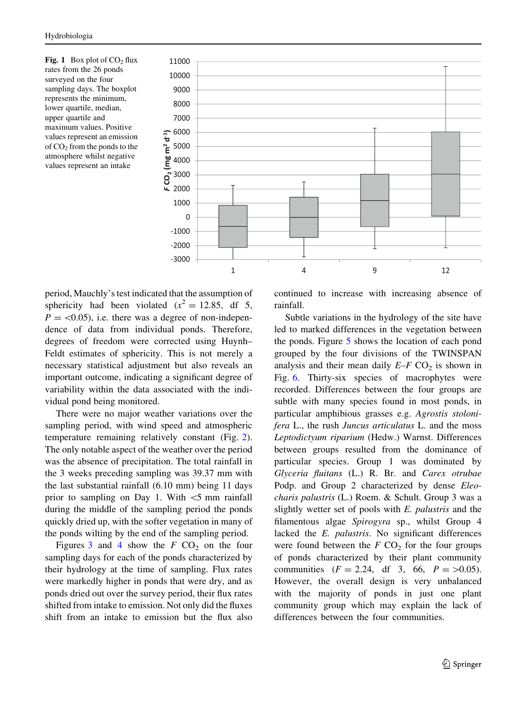<span id="page-5-0"></span>Fig. 1 Box plot of  $CO<sub>2</sub>$  flux rates from the 26 ponds surveyed on the four sampling days. The boxplot represents the minimum, lower quartile, median, upper quartile and maximum values. Positive values represent an emission of  $CO<sub>2</sub>$  from the ponds to the atmosphere whilst negative values represent an intake



period, Mauchly's test indicated that the assumption of sphericity had been violated ( $x^2 = 12.85$ , df 5,  $P = \langle 0.05 \rangle$ , i.e. there was a degree of non-independence of data from individual ponds. Therefore, degrees of freedom were corrected using Huynh– Feldt estimates of sphericity. This is not merely a necessary statistical adjustment but also reveals an important outcome, indicating a significant degree of variability within the data associated with the individual pond being monitored.

There were no major weather variations over the sampling period, with wind speed and atmospheric temperature remaining relatively constant (Fig. 2). The only notable aspect of the weather over the period was the absence of precipitation. The total rainfall in the 3 weeks preceding sampling was 39.37 mm with the last substantial rainfall (6.10 mm) being 11 days prior to sampling on Day 1. With  $\leq$  mm rainfall during the middle of the sampling period the ponds quickly dried up, with the softer vegetation in many of the ponds wilting by the end of the sampling period.

Figures 3 and [4](#page-6-0) show the  $F$  CO<sub>2</sub> on the four sampling days for each of the ponds characterized by their hydrology at the time of sampling. Flux rates were markedly higher in ponds that were dry, and as ponds dried out over the survey period, their flux rates shifted from intake to emission. Not only did the fluxes shift from an intake to emission but the flux also continued to increase with increasing absence of rainfall.

Subtle variations in the hydrology of the site have led to marked differences in the vegetation between the ponds. Figure [5](#page-6-0) shows the location of each pond grouped by the four divisions of the TWINSPAN analysis and their mean daily  $E-F$  CO<sub>2</sub> is shown in Fig. [6.](#page-6-0) Thirty-six species of macrophytes were recorded. Differences between the four groups are subtle with many species found in most ponds, in particular amphibious grasses e.g. Agrostis stolonifera L., the rush Juncus articulatus L. and the moss Leptodictyum riparium (Hedw.) Warnst. Differences between groups resulted from the dominance of particular species. Group 1 was dominated by Glyceria fluitans (L.) R. Br. and Carex otrubae Podp. and Group 2 characterized by dense Eleocharis palustris (L.) Roem. & Schult. Group 3 was a slightly wetter set of pools with E. palustris and the filamentous algae Spirogyra sp., whilst Group 4 lacked the E. palustris. No significant differences were found between the  $F$  CO<sub>2</sub> for the four groups of ponds characterized by their plant community communities  $(F = 2.24, df = 3, 66, P = >0.05)$ . However, the overall design is very unbalanced with the majority of ponds in just one plant community group which may explain the lack of differences between the four communities.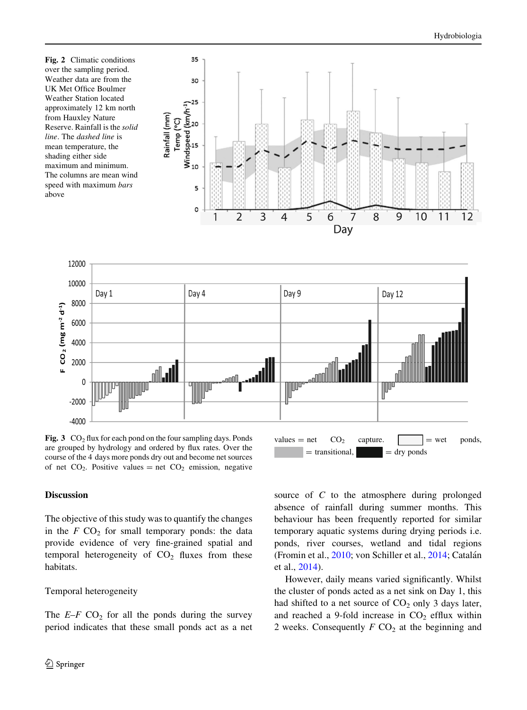<span id="page-6-0"></span>Fig. 2 Climatic conditions over the sampling period. Weather data are from the UK Met Office Boulmer Weather Station located approximately 12 km north from Hauxley Nature Reserve. Rainfall is the solid line. The dashed line is mean temperature, the shading either side maximum and minimum. The columns are mean wind speed with maximum bars above





Fig. 3  $CO<sub>2</sub>$  flux for each pond on the four sampling days. Ponds are grouped by hydrology and ordered by flux rates. Over the course of the 4 days more ponds dry out and become net sources of net  $CO_2$ . Positive values = net  $CO_2$  emission, negative

#### Discussion

The objective of this study was to quantify the changes in the  $F$  CO<sub>2</sub> for small temporary ponds: the data provide evidence of very fine-grained spatial and temporal heterogeneity of  $CO<sub>2</sub>$  fluxes from these habitats.

#### Temporal heterogeneity

The  $E-F$  CO<sub>2</sub> for all the ponds during the survey period indicates that these small ponds act as a net source of C to the atmosphere during prolonged absence of rainfall during summer months. This behaviour has been frequently reported for similar temporary aquatic systems during drying periods i.e. ponds, river courses, wetland and tidal regions (Fromin et al., [2010](#page-9-0); von Schiller et al., [2014](#page-10-0); Catalán et al., [2014\)](#page-9-0).

 $=$  transitional,  $\|$  = dry ponds

However, daily means varied significantly. Whilst the cluster of ponds acted as a net sink on Day 1, this had shifted to a net source of  $CO<sub>2</sub>$  only 3 days later, and reached a 9-fold increase in  $CO<sub>2</sub>$  efflux within 2 weeks. Consequently  $F$  CO<sub>2</sub> at the beginning and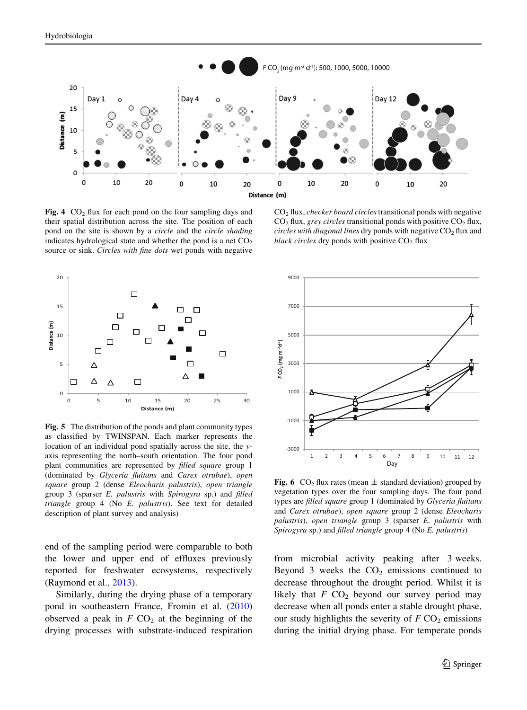

Fig. 4  $CO<sub>2</sub>$  flux for each pond on the four sampling days and their spatial distribution across the site. The position of each pond on the site is shown by a circle and the circle shading indicates hydrological state and whether the pond is a net  $CO<sub>2</sub>$ source or sink. Circles with fine dots wet ponds with negative

 $CO<sub>2</sub>$  flux, *checker board circles* transitional ponds with negative  $CO<sub>2</sub>$  flux, *grey circles* transitional ponds with positive  $CO<sub>2</sub>$  flux, circles with diagonal lines dry ponds with negative  $CO<sub>2</sub>$  flux and black circles dry ponds with positive  $CO<sub>2</sub>$  flux



Fig. 5 The distribution of the ponds and plant community types as classified by TWINSPAN. Each marker represents the location of an individual pond spatially across the site, the yaxis representing the north–south orientation. The four pond plant communities are represented by filled square group 1 (dominated by Glyceria fluitans and Carex otrubae), open square group 2 (dense Eleocharis palustris), open triangle group 3 (sparser E. palustris with Spirogyra sp.) and filled triangle group 4 (No E. palustris). See text for detailed description of plant survey and analysis)

end of the sampling period were comparable to both the lower and upper end of effluxes previously reported for freshwater ecosystems, respectively (Raymond et al., [2013\)](#page-10-0).

Similarly, during the drying phase of a temporary pond in southeastern France, Fromin et al. ([2010\)](#page-9-0) observed a peak in  $F\text{ CO}_2$  at the beginning of the drying processes with substrate-induced respiration



Fig. 6 CO<sub>2</sub> flux rates (mean  $\pm$  standard deviation) grouped by vegetation types over the four sampling days. The four pond types are filled square group 1 (dominated by Glyceria fluitans and Carex otrubae), open square group 2 (dense Eleocharis palustris), open triangle group 3 (sparser E. palustris with Spirogyra sp.) and filled triangle group 4 (No E. palustris)

from microbial activity peaking after 3 weeks. Beyond 3 weeks the  $CO<sub>2</sub>$  emissions continued to decrease throughout the drought period. Whilst it is likely that  $F$  CO<sub>2</sub> beyond our survey period may decrease when all ponds enter a stable drought phase, our study highlights the severity of  $F$  CO<sub>2</sub> emissions during the initial drying phase. For temperate ponds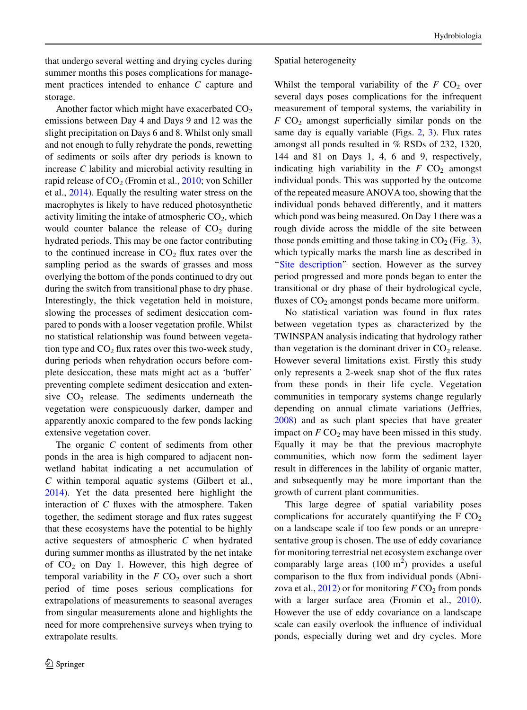that undergo several wetting and drying cycles during summer months this poses complications for management practices intended to enhance C capture and storage.

Another factor which might have exacerbated  $CO<sub>2</sub>$ emissions between Day 4 and Days 9 and 12 was the slight precipitation on Days 6 and 8. Whilst only small and not enough to fully rehydrate the ponds, rewetting of sediments or soils after dry periods is known to increase C lability and microbial activity resulting in rapid release of  $CO<sub>2</sub>$  (Fromin et al., [2010;](#page-9-0) von Schiller et al., [2014\)](#page-10-0). Equally the resulting water stress on the macrophytes is likely to have reduced photosynthetic activity limiting the intake of atmospheric  $CO<sub>2</sub>$ , which would counter balance the release of  $CO<sub>2</sub>$  during hydrated periods. This may be one factor contributing to the continued increase in  $CO<sub>2</sub>$  flux rates over the sampling period as the swards of grasses and moss overlying the bottom of the ponds continued to dry out during the switch from transitional phase to dry phase. Interestingly, the thick vegetation held in moisture, slowing the processes of sediment desiccation compared to ponds with a looser vegetation profile. Whilst no statistical relationship was found between vegetation type and  $CO<sub>2</sub>$  flux rates over this two-week study, during periods when rehydration occurs before complete desiccation, these mats might act as a 'buffer' preventing complete sediment desiccation and extensive  $CO<sub>2</sub>$  release. The sediments underneath the vegetation were conspicuously darker, damper and apparently anoxic compared to the few ponds lacking extensive vegetation cover.

The organic C content of sediments from other ponds in the area is high compared to adjacent nonwetland habitat indicating a net accumulation of C within temporal aquatic systems (Gilbert et al., [2014\)](#page-9-0). Yet the data presented here highlight the interaction of  $C$  fluxes with the atmosphere. Taken together, the sediment storage and flux rates suggest that these ecosystems have the potential to be highly active sequesters of atmospheric  $C$  when hydrated during summer months as illustrated by the net intake of  $CO<sub>2</sub>$  on Day 1. However, this high degree of temporal variability in the  $F$  CO<sub>2</sub> over such a short period of time poses serious complications for extrapolations of measurements to seasonal averages from singular measurements alone and highlights the need for more comprehensive surveys when trying to extrapolate results.

#### Spatial heterogeneity

Whilst the temporal variability of the  $F$  CO<sub>2</sub> over several days poses complications for the infrequent measurement of temporal systems, the variability in  $F$  CO<sub>2</sub> amongst superficially similar ponds on the same day is equally variable (Figs. [2,](#page-5-0) [3\)](#page-5-0). Flux rates amongst all ponds resulted in % RSDs of 232, 1320, 144 and 81 on Days 1, 4, 6 and 9, respectively, indicating high variability in the  $F$  CO<sub>2</sub> amongst individual ponds. This was supported by the outcome of the repeated measure ANOVA too, showing that the individual ponds behaved differently, and it matters which pond was being measured. On Day 1 there was a rough divide across the middle of the site between those ponds emitting and those taking in  $CO_2$  (Fig. [3](#page-5-0)), which typically marks the marsh line as described in "Site description" section. However as the survey period progressed and more ponds began to enter the transitional or dry phase of their hydrological cycle, fluxes of  $CO<sub>2</sub>$  amongst ponds became more uniform.

No statistical variation was found in flux rates between vegetation types as characterized by the TWINSPAN analysis indicating that hydrology rather than vegetation is the dominant driver in  $CO<sub>2</sub>$  release. However several limitations exist. Firstly this study only represents a 2-week snap shot of the flux rates from these ponds in their life cycle. Vegetation communities in temporary systems change regularly depending on annual climate variations (Jeffries, [2008\)](#page-9-0) and as such plant species that have greater impact on  $F \text{CO}_2$  may have been missed in this study. Equally it may be that the previous macrophyte communities, which now form the sediment layer result in differences in the lability of organic matter, and subsequently may be more important than the growth of current plant communities.

This large degree of spatial variability poses complications for accurately quantifying the  $F CO<sub>2</sub>$ on a landscape scale if too few ponds or an unrepresentative group is chosen. The use of eddy covariance for monitoring terrestrial net ecosystem exchange over comparably large areas  $(100 \text{ m}^2)$  provides a useful comparison to the flux from individual ponds (Abnizova et al.,  $2012$ ) or for monitoring  $F \text{CO}_2$  from ponds with a larger surface area (Fromin et al., [2010](#page-9-0)). However the use of eddy covariance on a landscape scale can easily overlook the influence of individual ponds, especially during wet and dry cycles. More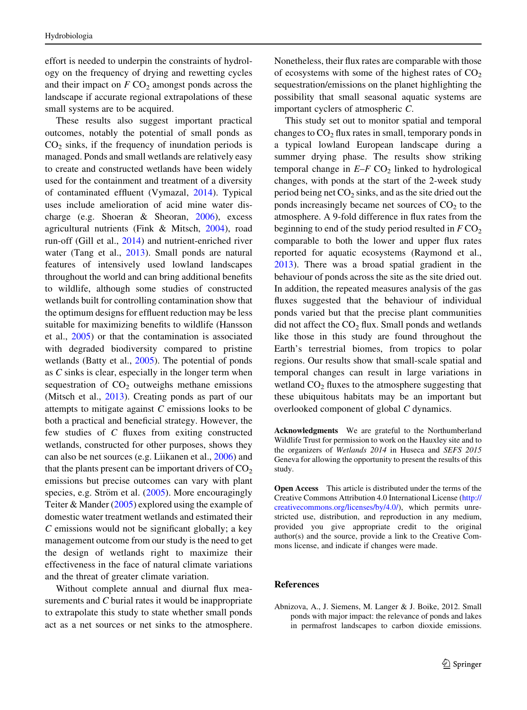<span id="page-9-0"></span>effort is needed to underpin the constraints of hydrology on the frequency of drying and rewetting cycles and their impact on  $F \text{CO}_2$  amongst ponds across the landscape if accurate regional extrapolations of these small systems are to be acquired.

These results also suggest important practical outcomes, notably the potential of small ponds as  $CO<sub>2</sub>$  sinks, if the frequency of inundation periods is managed. Ponds and small wetlands are relatively easy to create and constructed wetlands have been widely used for the containment and treatment of a diversity of contaminated effluent (Vymazal, [2014\)](#page-10-0). Typical uses include amelioration of acid mine water discharge (e.g. Shoeran & Sheoran, [2006](#page-10-0)), excess agricultural nutrients (Fink & Mitsch, 2004), road run-off (Gill et al., 2014) and nutrient-enriched river water (Tang et al., [2013\)](#page-10-0). Small ponds are natural features of intensively used lowland landscapes throughout the world and can bring additional benefits to wildlife, although some studies of constructed wetlands built for controlling contamination show that the optimum designs for effluent reduction may be less suitable for maximizing benefits to wildlife (Hansson et al., 2005) or that the contamination is associated with degraded biodiversity compared to pristine wetlands (Batty et al., 2005). The potential of ponds as C sinks is clear, especially in the longer term when sequestration of  $CO<sub>2</sub>$  outweighs methane emissions (Mitsch et al., [2013](#page-10-0)). Creating ponds as part of our attempts to mitigate against C emissions looks to be both a practical and beneficial strategy. However, the few studies of C fluxes from exiting constructed wetlands, constructed for other purposes, shows they can also be net sources (e.g. Liikanen et al., [2006](#page-10-0)) and that the plants present can be important drivers of  $CO<sub>2</sub>$ emissions but precise outcomes can vary with plant species, e.g. Ström et al.  $(2005)$  $(2005)$ . More encouragingly Teiter & Mander [\(2005](#page-10-0)) explored using the example of domestic water treatment wetlands and estimated their  $C$  emissions would not be significant globally; a key management outcome from our study is the need to get the design of wetlands right to maximize their effectiveness in the face of natural climate variations and the threat of greater climate variation.

Without complete annual and diurnal flux measurements and C burial rates it would be inappropriate to extrapolate this study to state whether small ponds act as a net sources or net sinks to the atmosphere. Nonetheless, their flux rates are comparable with those of ecosystems with some of the highest rates of  $CO<sub>2</sub>$ sequestration/emissions on the planet highlighting the possibility that small seasonal aquatic systems are important cyclers of atmospheric C.

This study set out to monitor spatial and temporal changes to  $CO<sub>2</sub>$  flux rates in small, temporary ponds in a typical lowland European landscape during a summer drying phase. The results show striking temporal change in  $E-F$  CO<sub>2</sub> linked to hydrological changes, with ponds at the start of the 2-week study period being net  $CO<sub>2</sub>$  sinks, and as the site dried out the ponds increasingly became net sources of  $CO<sub>2</sub>$  to the atmosphere. A 9-fold difference in flux rates from the beginning to end of the study period resulted in  $F \text{CO}_2$ comparable to both the lower and upper flux rates reported for aquatic ecosystems (Raymond et al., [2013\)](#page-10-0). There was a broad spatial gradient in the behaviour of ponds across the site as the site dried out. In addition, the repeated measures analysis of the gas fluxes suggested that the behaviour of individual ponds varied but that the precise plant communities did not affect the  $CO<sub>2</sub>$  flux. Small ponds and wetlands like those in this study are found throughout the Earth's terrestrial biomes, from tropics to polar regions. Our results show that small-scale spatial and temporal changes can result in large variations in wetland  $CO<sub>2</sub>$  fluxes to the atmosphere suggesting that these ubiquitous habitats may be an important but overlooked component of global C dynamics.

Acknowledgments We are grateful to the Northumberland Wildlife Trust for permission to work on the Hauxley site and to the organizers of Wetlands 2014 in Huseca and SEFS 2015 Geneva for allowing the opportunity to present the results of this study.

Open Access This article is distributed under the terms of the Creative Commons Attribution 4.0 International License ([http://](http://creativecommons.org/licenses/by/4.0/) [creativecommons.org/licenses/by/4.0/\)](http://creativecommons.org/licenses/by/4.0/), which permits unrestricted use, distribution, and reproduction in any medium, provided you give appropriate credit to the original author(s) and the source, provide a link to the Creative Commons license, and indicate if changes were made.

#### References

Abnizova, A., J. Siemens, M. Langer & J. Boike, 2012. Small ponds with major impact: the relevance of ponds and lakes in permafrost landscapes to carbon dioxide emissions.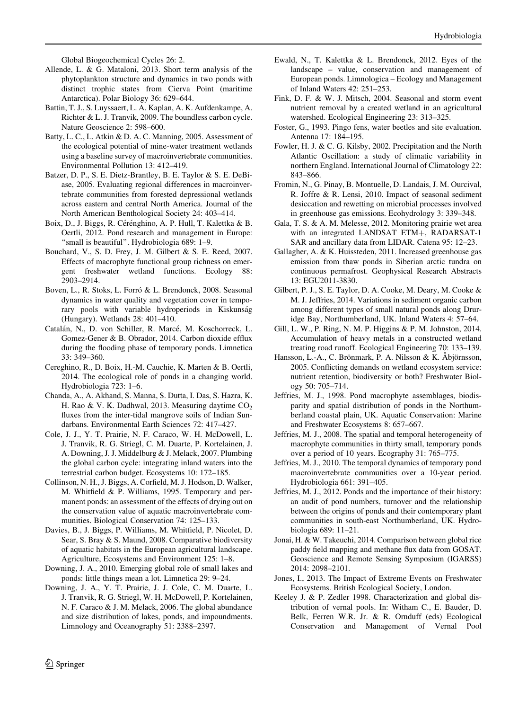Global Biogeochemical Cycles 26: 2.

- <span id="page-10-0"></span>Allende, L. & G. Mataloni, 2013. Short term analysis of the phytoplankton structure and dynamics in two ponds with distinct trophic states from Cierva Point (maritime Antarctica). Polar Biology 36: 629–644.
- Battin, T. J., S. Luyssaert, L. A. Kaplan, A. K. Aufdenkampe, A. Richter & L. J. Tranvik, 2009. The boundless carbon cycle. Nature Geoscience 2: 598–600.
- Batty, L. C., L. Atkin & D. A. C. Manning, 2005. Assessment of the ecological potential of mine-water treatment wetlands using a baseline survey of macroinvertebrate communities. Environmental Pollution 13: 412–419.
- Batzer, D. P., S. E. Dietz-Brantley, B. E. Taylor & S. E. DeBiase, 2005. Evaluating regional differences in macroinvertebrate communities from forested depressional wetlands across eastern and central North America. Journal of the North American Benthological Society 24: 403–414.
- Boix, D., J. Biggs, R. Cérénghino, A. P. Hull, T. Kalettka & B. Oertli, 2012. Pond research and management in Europe: "small is beautiful". Hydrobiologia 689: 1-9.
- Bouchard, V., S. D. Frey, J. M. Gilbert & S. E. Reed, 2007. Effects of macrophyte functional group richness on emergent freshwater wetland functions. Ecology 88: 2903–2914.
- Boven, L., R. Stoks, L. Forró & L. Brendonck, 2008. Seasonal dynamics in water quality and vegetation cover in temporary pools with variable hydroperiods in Kiskunság (Hungary). Wetlands 28: 401–410.
- Catalán, N., D. von Schiller, R. Marcé, M. Koschorreck, L. Gomez-Gener & B. Obrador, 2014. Carbon dioxide efflux during the flooding phase of temporary ponds. Limnetica 33: 349–360.
- Cereghino, R., D. Boix, H.-M. Cauchie, K. Marten & B. Oertli, 2014. The ecological role of ponds in a changing world. Hydrobiologia 723: 1–6.
- Chanda, A., A. Akhand, S. Manna, S. Dutta, I. Das, S. Hazra, K. H. Rao & V. K. Dadhwal, 2013. Measuring daytime  $CO<sub>2</sub>$ fluxes from the inter-tidal mangrove soils of Indian Sundarbans. Environmental Earth Sciences 72: 417–427.
- Cole, J. J., Y. T. Prairie, N. F. Caraco, W. H. McDowell, L. J. Tranvik, R. G. Striegl, C. M. Duarte, P. Kortelainen, J. A. Downing, J. J. Middelburg & J. Melack, 2007. Plumbing the global carbon cycle: integrating inland waters into the terrestrial carbon budget. Ecosystems 10: 172–185.
- Collinson, N. H., J. Biggs, A. Corfield, M. J. Hodson, D. Walker, M. Whitfield & P. Williams, 1995. Temporary and permanent ponds: an assessment of the effects of drying out on the conservation value of aquatic macroinvertebrate communities. Biological Conservation 74: 125–133.
- Davies, B., J. Biggs, P. Williams, M. Whitfield, P. Nicolet, D. Sear, S. Bray & S. Maund, 2008. Comparative biodiversity of aquatic habitats in the European agricultural landscape. Agriculture, Ecosystems and Environment 125: 1–8.
- Downing, J. A., 2010. Emerging global role of small lakes and ponds: little things mean a lot. Limnetica 29: 9–24.
- Downing, J. A., Y. T. Prairie, J. J. Cole, C. M. Duarte, L. J. Tranvik, R. G. Striegl, W. H. McDowell, P. Kortelainen, N. F. Caraco & J. M. Melack, 2006. The global abundance and size distribution of lakes, ponds, and impoundments. Limnology and Oceanography 51: 2388–2397.
- Ewald, N., T. Kalettka & L. Brendonck, 2012. Eyes of the landscape – value, conservation and management of European ponds. Limnologica – Ecology and Management of Inland Waters 42: 251–253.
- Fink, D. F. & W. J. Mitsch, 2004. Seasonal and storm event nutrient removal by a created wetland in an agricultural watershed. Ecological Engineering 23: 313–325.
- Foster, G., 1993. Pingo fens, water beetles and site evaluation. Antenna 17: 184–195.
- Fowler, H. J. & C. G. Kilsby, 2002. Precipitation and the North Atlantic Oscillation: a study of climatic variability in northern England. International Journal of Climatology 22: 843–866.
- Fromin, N., G. Pinay, B. Montuelle, D. Landais, J. M. Ourcival, R. Joffre & R. Lensi, 2010. Impact of seasonal sediment desiccation and rewetting on microbial processes involved in greenhouse gas emissions. Ecohydrology 3: 339–348.
- Gala, T. S. & A. M. Melesse, 2012. Monitoring prairie wet area with an integrated LANDSAT ETM+, RADARSAT-1 SAR and ancillary data from LIDAR. Catena 95: 12–23.
- Gallagher, A. & K. Huissteden, 2011. Increased greenhouse gas emission from thaw ponds in Siberian arctic tundra on continuous permafrost. Geophysical Research Abstracts 13: EGU2011-3830.
- Gilbert, P. J., S. E. Taylor, D. A. Cooke, M. Deary, M. Cooke & M. J. Jeffries, 2014. Variations in sediment organic carbon among different types of small natural ponds along Druridge Bay, Northumberland, UK. Inland Waters 4: 57–64.
- Gill, L. W., P. Ring, N. M. P. Higgins & P. M. Johnston, 2014. Accumulation of heavy metals in a constructed wetland treating road runoff. Ecological Engineering 70: 133–139.
- Hansson, L.-A., C. Brönmark, P. A. Nilsson & K. Abjörnsson, 2005. Conflicting demands on wetland ecosystem service: nutrient retention, biodiversity or both? Freshwater Biology 50: 705–714.
- Jeffries, M. J., 1998. Pond macrophyte assemblages, biodisparity and spatial distribution of ponds in the Northumberland coastal plain, UK. Aquatic Conservation: Marine and Freshwater Ecosystems 8: 657–667.
- Jeffries, M. J., 2008. The spatial and temporal heterogeneity of macrophyte communities in thirty small, temporary ponds over a period of 10 years. Ecography 31: 765–775.
- Jeffries, M. J., 2010. The temporal dynamics of temporary pond macroinvertebrate communities over a 10-year period. Hydrobiologia 661: 391–405.
- Jeffries, M. J., 2012. Ponds and the importance of their history: an audit of pond numbers, turnover and the relationship between the origins of ponds and their contemporary plant communities in south-east Northumberland, UK. Hydrobiologia 689: 11–21.
- Jonai, H. & W. Takeuchi, 2014. Comparison between global rice paddy field mapping and methane flux data from GOSAT. Geoscience and Remote Sensing Symposium (IGARSS) 2014: 2098–2101.
- Jones, I., 2013. The Impact of Extreme Events on Freshwater Ecosystems. British Ecological Society, London.
- Keeley J. & P. Zedler 1998. Characterization and global distribution of vernal pools. In: Witham C., E. Bauder, D. Belk, Ferren W.R. Jr. & R. Ornduff (eds) Ecological Conservation and Management of Vernal Pool